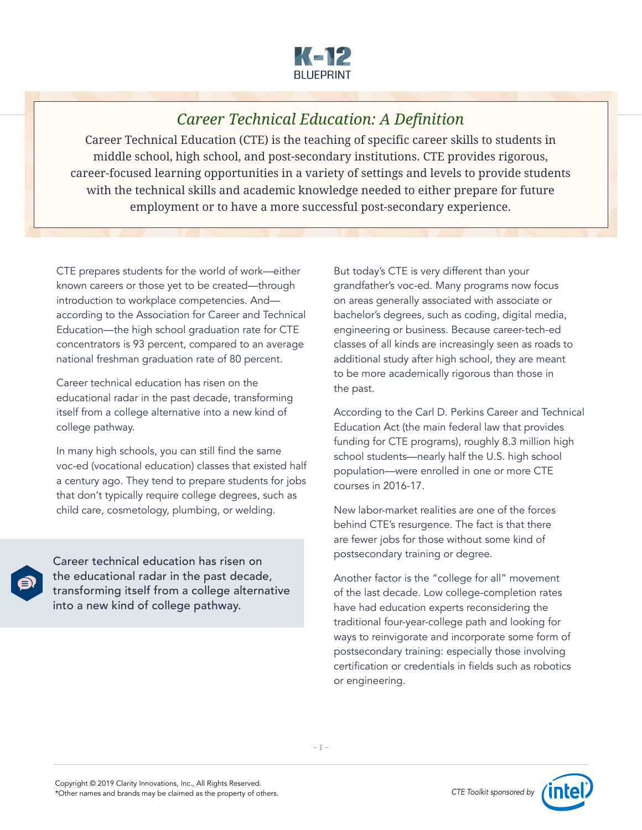

## *Career Technical Education: A Definition*

Career Technical Education (CTE) is the teaching of specific career skills to students in middle school, high school, and post-secondary institutions. CTE provides rigorous, career-focused learning opportunities in a variety of settings and levels to provide students with the technical skills and academic knowledge needed to either prepare for future employment or to have a more successful post-secondary experience.

CTE prepares students for the world of work—either known careers or those yet to be created—through introduction to workplace competencies. And according to the Association for Career and Technical Education—the high school graduation rate for CTE concentrators is 93 percent, compared to an average national freshman graduation rate of 80 percent.

Career technical education has risen on the educational radar in the past decade, transforming itself from a college alternative into a new kind of college pathway.

In many high schools, you can still find the same voc-ed (vocational education) classes that existed half a century ago. They tend to prepare students for jobs that don't typically require college degrees, such as child care, cosmetology, plumbing, or welding.

Career technical education has risen on the educational radar in the past decade, transforming itself from a college alternative into a new kind of college pathway.

But today's CTE is very different than your grandfather's voc-ed. Many programs now focus on areas generally associated with associate or bachelor's degrees, such as coding, digital media, engineering or business. Because career-tech-ed classes of all kinds are increasingly seen as roads to additional study after high school, they are meant to be more academically rigorous than those in the past.

According to the Carl D. Perkins Career and Technical Education Act (the main federal law that provides funding for CTE programs), roughly 8.3 million high school students—nearly half the U.S. high school population—were enrolled in one or more CTE courses in 2016-17.

New labor-market realities are one of the forces behind CTE's resurgence. The fact is that there are fewer jobs for those without some kind of postsecondary training or degree.

Another factor is the "college for all" movement of the last decade. Low college-completion rates have had education experts reconsidering the traditional four-year-college path and looking for ways to reinvigorate and incorporate some form of postsecondary training: especially those involving certification or credentials in fields such as robotics or engineering.